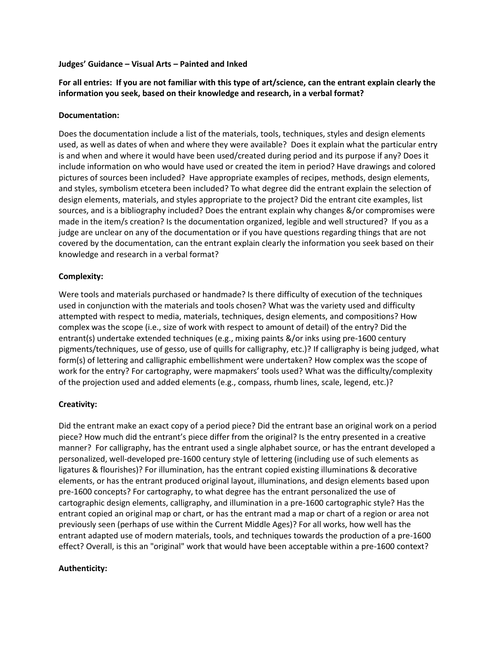### **Judges' Guidance – Visual Arts – Painted and Inked**

**For all entries: If you are not familiar with this type of art/science, can the entrant explain clearly the information you seek, based on their knowledge and research, in a verbal format?** 

### **Documentation:**

Does the documentation include a list of the materials, tools, techniques, styles and design elements used, as well as dates of when and where they were available? Does it explain what the particular entry is and when and where it would have been used/created during period and its purpose if any? Does it include information on who would have used or created the item in period? Have drawings and colored pictures of sources been included? Have appropriate examples of recipes, methods, design elements, and styles, symbolism etcetera been included? To what degree did the entrant explain the selection of design elements, materials, and styles appropriate to the project? Did the entrant cite examples, list sources, and is a bibliography included? Does the entrant explain why changes &/or compromises were made in the item/s creation? Is the documentation organized, legible and well structured? If you as a judge are unclear on any of the documentation or if you have questions regarding things that are not covered by the documentation, can the entrant explain clearly the information you seek based on their knowledge and research in a verbal format?

# **Complexity:**

Were tools and materials purchased or handmade? Is there difficulty of execution of the techniques used in conjunction with the materials and tools chosen? What was the variety used and difficulty attempted with respect to media, materials, techniques, design elements, and compositions? How complex was the scope (i.e., size of work with respect to amount of detail) of the entry? Did the entrant(s) undertake extended techniques (e.g., mixing paints &/or inks using pre-1600 century pigments/techniques, use of gesso, use of quills for calligraphy, etc.)? If calligraphy is being judged, what form(s) of lettering and calligraphic embellishment were undertaken? How complex was the scope of work for the entry? For cartography, were mapmakers' tools used? What was the difficulty/complexity of the projection used and added elements (e.g., compass, rhumb lines, scale, legend, etc.)?

# **Creativity:**

Did the entrant make an exact copy of a period piece? Did the entrant base an original work on a period piece? How much did the entrant's piece differ from the original? Is the entry presented in a creative manner? For calligraphy, has the entrant used a single alphabet source, or has the entrant developed a personalized, well-developed pre-1600 century style of lettering (including use of such elements as ligatures & flourishes)? For illumination, has the entrant copied existing illuminations & decorative elements, or has the entrant produced original layout, illuminations, and design elements based upon pre-1600 concepts? For cartography, to what degree has the entrant personalized the use of cartographic design elements, calligraphy, and illumination in a pre-1600 cartographic style? Has the entrant copied an original map or chart, or has the entrant mad a map or chart of a region or area not previously seen (perhaps of use within the Current Middle Ages)? For all works, how well has the entrant adapted use of modern materials, tools, and techniques towards the production of a pre-1600 effect? Overall, is this an "original" work that would have been acceptable within a pre-1600 context?

# **Authenticity:**